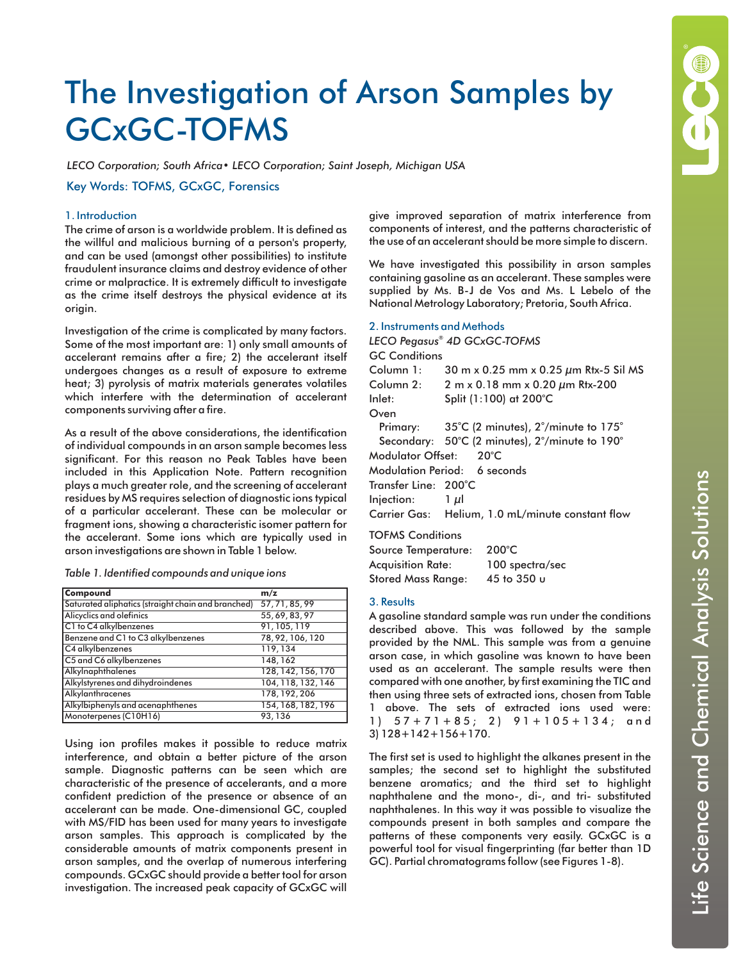

# The Investigation of Arson Samples by GCxGC-TOFMS

*LECO Corporation; South Africa• LECO Corporation; Saint Joseph, Michigan USA*

Key Words: TOFMS, GCxGC, Forensics

## 1. Introduction

The crime of arson is a worldwide problem. It is defined as the willful and malicious burning of a person's property, and can be used (amongst other possibilities) to institute fraudulent insurance claims and destroy evidence of other crime or malpractice. It is extremely difficult to investigate as the crime itself destroys the physical evidence at its origin.

Investigation of the crime is complicated by many factors. Some of the most important are: 1) only small amounts of accelerant remains after a fire; 2) the accelerant itself undergoes changes as a result of exposure to extreme heat; 3) pyrolysis of matrix materials generates volatiles which interfere with the determination of accelerant components surviving after a fire.

As a result of the above considerations, the identification of individual compounds in an arson sample becomes less significant. For this reason no Peak Tables have been included in this Application Note. Pattern recognition plays a much greater role, and the screening of accelerant residues by MS requires selection of diagnostic ions typical of a particular accelerant. These can be molecular or fragment ions, showing a characteristic isomer pattern for the accelerant. Some ions which are typically used in arson investigations are shown in Table 1 below.

|  | Table 1. Identified compounds and unique ions |  |  |  |
|--|-----------------------------------------------|--|--|--|
|  |                                               |  |  |  |

| Compound                                           | m/z                |
|----------------------------------------------------|--------------------|
| Saturated aliphatics (straight chain and branched) | 57, 71, 85, 99     |
| Alicyclics and olefinics                           | 55, 69, 83, 97     |
| C1 to C4 alkylbenzenes                             | 91, 105, 119       |
| Benzene and C1 to C3 alkylbenzenes                 | 78, 92, 106, 120   |
| C4 alkylbenzenes                                   | 119,134            |
| C5 and C6 alkylbenzenes                            | 148, 162           |
| Alkylnaphthalenes                                  | 128, 142, 156, 170 |
| Alkylstyrenes and dihydroindenes                   | 104, 118, 132, 146 |
| Alkylanthracenes                                   | 178, 192, 206      |
| Alkylbiphenyls and acenaphthenes                   | 154, 168, 182, 196 |
| Monoterpenes (C10H16)                              | 93, 136            |

Using ion profiles makes it possible to reduce matrix interference, and obtain a better picture of the arson sample. Diagnostic patterns can be seen which are characteristic of the presence of accelerants, and a more confident prediction of the presence or absence of an accelerant can be made. One-dimensional GC, coupled with MS/FID has been used for many years to investigate arson samples. This approach is complicated by the considerable amounts of matrix components present in arson samples, and the overlap of numerous interfering compounds. GCxGC should provide a better tool for arson investigation. The increased peak capacity of GCxGC will give improved separation of matrix interference from components of interest, and the patterns characteristic of the use of an accelerant should be more simple to discern.

We have investigated this possibility in arson samples containing gasoline as an accelerant. These samples were supplied by Ms. B-J de Vos and Ms. L Lebelo of the National Metrology Laboratory; Pretoria, South Africa.

#### 2. Instruments and Methods

|                        | LECO Pegasus® 4D GCxGC-TOFMS                                                    |
|------------------------|---------------------------------------------------------------------------------|
| <b>GC Conditions</b>   |                                                                                 |
| Column 1:              | 30 m x 0.25 mm x 0.25 $\mu$ m Rtx-5 Sil MS                                      |
|                        | Column 2: $2 \text{ m} \times 0.18 \text{ mm} \times 0.20 \mu \text{m}$ Rtx-200 |
| Inlet:                 | Split (1:100) at 200°C                                                          |
| Oven                   |                                                                                 |
|                        | Primary: $35^{\circ}$ C (2 minutes), $2^{\circ}$ /minute to 175 $^{\circ}$      |
|                        | Secondary: 50°C (2 minutes), 2°/minute to 190°                                  |
| Modulator Offset: 20°C |                                                                                 |
|                        | Modulation Period: 6 seconds                                                    |
| Transfer Line: 200°C   |                                                                                 |
| Injection: $1 \mu$ l   |                                                                                 |
|                        | Carrier Gas: Helium, 1.0 mL/minute constant flow                                |
|                        |                                                                                 |

TOFMS Conditions

| Source Temperature:       | 200°C           |
|---------------------------|-----------------|
| <b>Acquisition Rate:</b>  | 100 spectra/sec |
| <b>Stored Mass Range:</b> | 45 to 350 u     |

## 3. Results

A gasoline standard sample was run under the conditions described above. This was followed by the sample provided by the NML. This sample was from a genuine arson case, in which gasoline was known to have been used as an accelerant. The sample results were then compared with one another, by first examining the TIC and then using three sets of extracted ions, chosen from Table 1 above. The sets of extracted ions used were: 1) 57+71+85; 2) 91+105+134; and 3) 128+142+156+170.

The first set is used to highlight the alkanes present in the samples; the second set to highlight the substituted benzene aromatics; and the third set to highlight naphthalene and the mono-, di-, and tri- substituted naphthalenes. In this way it was possible to visualize the compounds present in both samples and compare the patterns of these components very easily. GCxGC is a powerful tool for visual fingerprinting (far better than 1D GC). Partial chromatograms follow (see Figures 1-8).